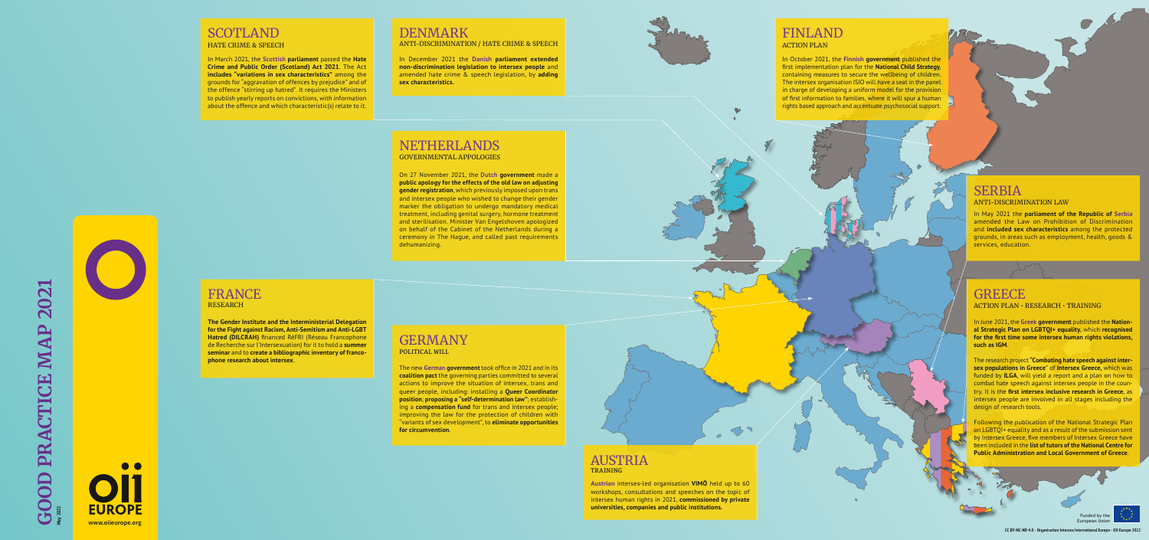**May 2022**





#### DENMARK ANTI-DISCRIMINATION / HATE CRIME & SPEECH

In December 2021 the **Danish parliament extended non-discrimination legislation to intersex people** and amended hate crime & speech legislation, by **adding sex characteristics.**

### GERMANY POLITICAL WILL

The new **German government** took office in 2021 and in its **coalition pact** the governing parties committed to several actions to improve the situation of intersex, trans and queer people, including: installing a **Queer Coordinator position**; **proposing a "self-determination law"**; establishing a **compensation fund** for trans and intersex people; improving the law for the protection of children with "variants of sex development", to **eliminate opportunities for circumvention**.

### **SCOTLAND** HATE CRIME & SPEECH

FRANCE RESEARCH

**The Gender Institute and the Interministerial Delegation for the Fight against Racism, Anti-Semitism and Anti-LGBT Hatred (DILCRAH)** financed RéFRI (Réseau Francophone de Recherche sur l'Intersexuation) for it to hold a **summer seminar** and to **create a bibliographic inventory of francophone research about intersex**.

In March 2021, the **Scottish parliament** passed the **Hate Crime and Public Order (Scotland) Act 2021**. The Act **includes "variations in sex characteristics"** among the grounds for "aggravation of offences by prejudice" and of the offence "stirring up hatred". It requires the Ministers to publish yearly reports on convictions, with information about the offence and which characteristic(s) relate to it.

#### NETHERLANDS GOVERNMENTAL APPOLOGIES

On 27 November 2021, the **Dutch government** made a **public apology for the effects of the old law on adjusting gender registration**, which previously imposed upon trans and intersex people who wished to change their gender marker the obligation to undergo mandatory medical treatment, including genital surgery, hormone treatment and sterilisation. Minister Van Engelshoven apologized on behalf of the Cabinet of the Netherlands during a ceremony in The Hague, and called past requirements dehumanizing.



### AUSTRIA TRAINING

**Austrian** intersex-led organisation **VIMÖ** held up to 60 workshops, consultations and speeches on the topic of intersex human rights in 2021, **commissioned by private universities, companies and public institutions.**

73

### FINLAND ACTION PLAN

In October 2021, the **Finnish government** published the first implementation plan for the **National Child Strategy**, containing measures to secure the wellbeing of children. The intersex organisation ISIO will have a seat in the panel in charge of developing a uniform model for the provision of first information to families, where it will spur a human rights based approach and accentuate psychosocial support.

### SERBIA ANTI-DISCRIMINATION LAW

In May 2021 the **parliament of the Republic of Serbia** amended the Law on Prohibition of Discrimination and **included sex characteristics** among the protected grounds, in areas such as employment, health, goods & services, education.



In June 2021, the **Greek government** published the **National Strategic Plan on LGBTQI+ equality**, which **recognised for the first time some intersex human rights violations, such as IGM**.

The research project **"Combating hate speech against intersex populations in Greece**" of **Intersex Greece,** which was funded by **ILGA**, will yield a report and a plan on how to combat hate speech against intersex people in the country. It is the **first intersex inclusive research in Greece**, as intersex people are involved in all stages including the design of research tools.

Following the publication of the National Strategic Plan on LGBTQI+ equality and as a result of the submission sent by Intersex Greece, five members of Intersex Greece have been included in the **list of tutors of the National Centre for Public Administration and Local Government of Greece**.